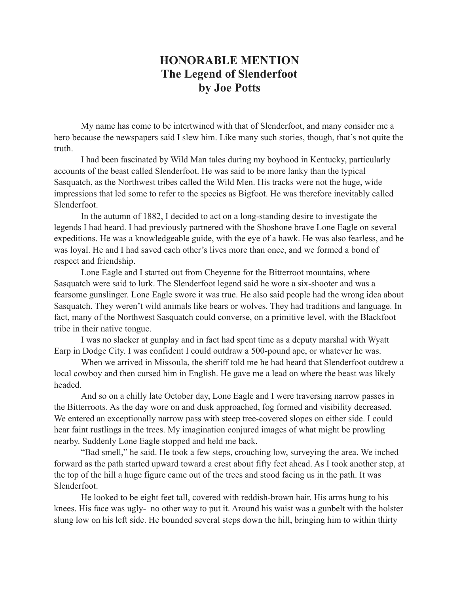## **HONORABLE MENTION The Legend of Slenderfoot by Joe Potts**

My name has come to be intertwined with that of Slenderfoot, and many consider me a hero because the newspapers said I slew him. Like many such stories, though, that's not quite the truth.

I had been fascinated by Wild Man tales during my boyhood in Kentucky, particularly accounts of the beast called Slenderfoot. He was said to be more lanky than the typical Sasquatch, as the Northwest tribes called the Wild Men. His tracks were not the huge, wide impressions that led some to refer to the species as Bigfoot. He was therefore inevitably called Slenderfoot.

In the autumn of 1882, I decided to act on a long-standing desire to investigate the legends I had heard. I had previously partnered with the Shoshone brave Lone Eagle on several expeditions. He was a knowledgeable guide, with the eye of a hawk. He was also fearless, and he was loyal. He and I had saved each other's lives more than once, and we formed a bond of respect and friendship.

Lone Eagle and I started out from Cheyenne for the Bitterroot mountains, where Sasquatch were said to lurk. The Slenderfoot legend said he wore a six-shooter and was a fearsome gunslinger. Lone Eagle swore it was true. He also said people had the wrong idea about Sasquatch. They weren't wild animals like bears or wolves. They had traditions and language. In fact, many of the Northwest Sasquatch could converse, on a primitive level, with the Blackfoot tribe in their native tongue.

I was no slacker at gunplay and in fact had spent time as a deputy marshal with Wyatt Earp in Dodge City. I was confident I could outdraw a 500-pound ape, or whatever he was.

When we arrived in Missoula, the sheriff told me he had heard that Slenderfoot outdrew a local cowboy and then cursed him in English. He gave me a lead on where the beast was likely headed.

And so on a chilly late October day, Lone Eagle and I were traversing narrow passes in the Bitterroots. As the day wore on and dusk approached, fog formed and visibility decreased. We entered an exceptionally narrow pass with steep tree-covered slopes on either side. I could hear faint rustlings in the trees. My imagination conjured images of what might be prowling nearby. Suddenly Lone Eagle stopped and held me back.

"Bad smell," he said. He took a few steps, crouching low, surveying the area. We inched forward as the path started upward toward a crest about fifty feet ahead. As I took another step, at the top of the hill a huge figure came out of the trees and stood facing us in the path. It was Slenderfoot.

He looked to be eight feet tall, covered with reddish-brown hair. His arms hung to his knees. His face was ugly-–no other way to put it. Around his waist was a gunbelt with the holster slung low on his left side. He bounded several steps down the hill, bringing him to within thirty